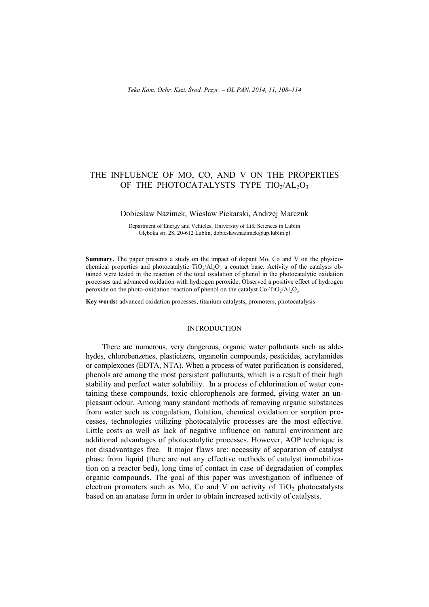# THE INFLUENCE OF MO, CO, AND V ON THE PROPERTIES OF THE PHOTOCATALYSTS TYPE TIO2/AL2O3

#### Dobiesław Nazimek, Wiesław Piekarski, Andrzej Marczuk

Department of Energy and Vehicles, University of Life Sciences in Lublin Głęboka str. 28, 20-612 Lublin, dobieslaw.nazimek@up.lublin.pl

**Summary.** The paper presents a study on the impact of dopant Mo, Co and V on the physicochemical properties and photocatalytic  $TiO<sub>2</sub>/Al<sub>2</sub>O<sub>3</sub>$  a contact base. Activity of the catalysts obtained were tested in the reaction of the total oxidation of phenol in the photocatalytic oxidation processes and advanced oxidation with hydrogen peroxide. Observed a positive effect of hydrogen peroxide on the photo-oxidation reaction of phenol on the catalyst  $Co-TiO<sub>2</sub>/Al<sub>2</sub>O<sub>3</sub>$ .

**Key words:** advanced oxidation processes, titanium catalysts, promoters, photocatalysis

### INTRODUCTION

There are numerous, very dangerous, organic water pollutants such as aldehydes, chlorobenzenes, plasticizers, organotin compounds, pesticides, acrylamides or complexones (EDTA, NTA). When a process of water purification is considered, phenols are among the most persistent pollutants, which is a result of their high stability and perfect water solubility. In a process of chlorination of water containing these compounds, toxic chlorophenols are formed, giving water an unpleasant odour. Among many standard methods of removing organic substances from water such as coagulation, flotation, chemical oxidation or sorption processes, technologies utilizing photocatalytic processes are the most effective. Little costs as well as lack of negative influence on natural environment are additional advantages of photocatalytic processes. However, AOP technique is not disadvantages free. It major flaws are: necessity of separation of catalyst phase from liquid (there are not any effective methods of catalyst immobilization on a reactor bed), long time of contact in case of degradation of complex organic compounds. The goal of this paper was investigation of influence of electron promoters such as Mo, Co and V on activity of  $TiO<sub>2</sub>$  photocatalysts based on an anatase form in order to obtain increased activity of catalysts.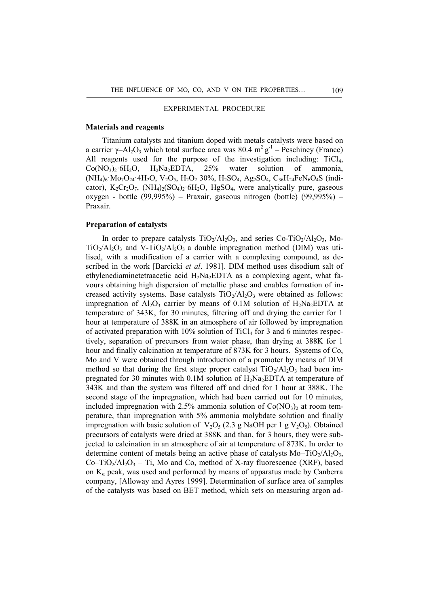### EXPERIMENTAL PROCEDURE

#### **Materials and reagents**

Titanium catalysts and titanium doped with metals catalysts were based on a carrier  $\gamma$ -Al<sub>2</sub>O<sub>3</sub> which total surface area was 80.4 m<sup>2</sup> g<sup>-1</sup> – Peschiney (France) All reagents used for the purpose of the investigation including:  $TiCl<sub>4</sub>$ ,  $Co(NO<sub>3</sub>)<sub>2</sub>·6H<sub>2</sub>O$ ,  $H<sub>2</sub>Na<sub>2</sub>EDTA$ , 25% water solution of ammonia,  $(NH_4)_6$ ·Mo<sub>7</sub>O<sub>24</sub>·4H<sub>2</sub>O, V<sub>2</sub>O<sub>5</sub>, H<sub>2</sub>O<sub>2</sub> 30%, H<sub>2</sub>SO<sub>4</sub>, Ag<sub>2</sub>SO<sub>4</sub>, C<sub>36</sub>H<sub>24</sub>FeN<sub>6</sub>O<sub>4</sub>S (indicator),  $K_2Cr_2O_7$ ,  $(NH_4)_2(SO_4)_2.6H_2O$ ,  $HgSO_4$ , were analytically pure, gaseous oxygen - bottle (99,995%) – Praxair, gaseous nitrogen (bottle) (99,995%) – Praxair.

## **Preparation of catalysts**

In order to prepare catalysts  $TiO<sub>2</sub>/Al<sub>2</sub>O<sub>3</sub>$ , and series Co-TiO<sub>2</sub>/Al<sub>2</sub>O<sub>3</sub>, Mo- $TiO<sub>2</sub>/Al<sub>2</sub>O<sub>3</sub>$  and V-TiO<sub>2</sub>/Al<sub>2</sub>O<sub>3</sub> a double impregnation method (DIM) was utilised, with a modification of a carrier with a complexing compound, as described in the work [Barcicki *et al*. 1981]. DIM method uses disodium salt of ethylenediaminetetraacetic acid  $H_2Na_2EDTA$  as a complexing agent, what favours obtaining high dispersion of metallic phase and enables formation of increased activity systems. Base catalysts  $TiO<sub>2</sub>/Al<sub>2</sub>O<sub>3</sub>$  were obtained as follows: impregnation of  $Al_2O_3$  carrier by means of 0.1M solution of  $H_2Na_2EDTA$  at temperature of 343K, for 30 minutes, filtering off and drying the carrier for 1 hour at temperature of 388K in an atmosphere of air followed by impregnation of activated preparation with  $10\%$  solution of TiCl<sub>4</sub> for 3 and 6 minutes respectively, separation of precursors from water phase, than drying at 388K for 1 hour and finally calcination at temperature of 873K for 3 hours. Systems of Co, Mo and V were obtained through introduction of a promoter by means of DIM method so that during the first stage proper catalyst  $TiO<sub>2</sub>/Al<sub>2</sub>O<sub>3</sub>$  had been impregnated for 30 minutes with  $0.1M$  solution of  $H_2Na_2EDTA$  at temperature of 343K and than the system was filtered off and dried for 1 hour at 388K. The second stage of the impregnation, which had been carried out for 10 minutes, included impregnation with 2.5% ammonia solution of  $Co(NO_3)$  at room temperature, than impregnation with 5% ammonia molybdate solution and finally impregnation with basic solution of  $V_2O_5$  (2.3 g NaOH per 1 g  $V_2O_5$ ). Obtained precursors of catalysts were dried at 388K and than, for 3 hours, they were subjected to calcination in an atmosphere of air at temperature of 873K. In order to determine content of metals being an active phase of catalysts  $Mo-TiO<sub>2</sub>/Al<sub>2</sub>O<sub>3</sub>$ ,  $Co-TiO<sub>2</sub>/Al<sub>2</sub>O<sub>3</sub> - Ti$ , Mo and Co, method of X-ray fluorescence (XRF), based on  $K_a$  peak, was used and performed by means of apparatus made by Canberra company, [Alloway and Ayres 1999]. Determination of surface area of samples of the catalysts was based on BET method, which sets on measuring argon ad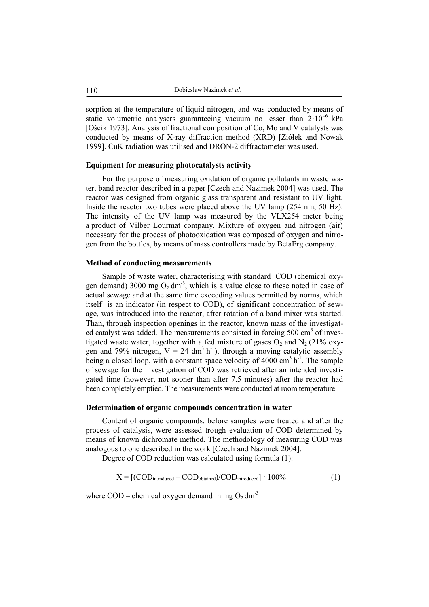sorption at the temperature of liquid nitrogen, and was conducted by means of static volumetric analysers guaranteeing vacuum no lesser than  $2 \cdot 10^{-6}$  kPa [Ościk 1973]. Analysis of fractional composition of Co, Mo and V catalysts was conducted by means of X-ray diffraction method (XRD) [Ziółek and Nowak 1999]. CuK radiation was utilised and DRON-2 diffractometer was used.

## **Equipment for measuring photocatalysts activity**

For the purpose of measuring oxidation of organic pollutants in waste water, band reactor described in a paper [Czech and Nazimek 2004] was used. The reactor was designed from organic glass transparent and resistant to UV light. Inside the reactor two tubes were placed above the UV lamp (254 nm, 50 Hz). The intensity of the UV lamp was measured by the VLX254 meter being a product of Vilber Lourmat company. Mixture of oxygen and nitrogen (air) necessary for the process of photooxidation was composed of oxygen and nitrogen from the bottles, by means of mass controllers made by BetaErg company.

### **Method of conducting measurements**

Sample of waste water, characterising with standard COD (chemical oxygen demand) 3000 mg  $O_2$  dm<sup>-3</sup>, which is a value close to these noted in case of actual sewage and at the same time exceeding values permitted by norms, which itself is an indicator (in respect to COD), of significant concentration of sewage, was introduced into the reactor, after rotation of a band mixer was started. Than, through inspection openings in the reactor, known mass of the investigated catalyst was added. The measurements consisted in forcing 500 cm<sup>3</sup> of investigated waste water, together with a fed mixture of gases  $O_2$  and  $N_2$  (21% oxygen and 79% nitrogen,  $V = 24$  dm<sup>3</sup> h<sup>-1</sup>), through a moving catalytic assembly being a closed loop, with a constant space velocity of 4000  $\text{cm}^3 \text{ h}^{-1}$ . The sample of sewage for the investigation of COD was retrieved after an intended investigated time (however, not sooner than after 7.5 minutes) after the reactor had been completely emptied. The measurements were conducted at room temperature.

## **Determination of organic compounds concentration in water**

Content of organic compounds, before samples were treated and after the process of catalysis, were assessed trough evaluation of COD determined by means of known dichromate method. The methodology of measuring COD was analogous to one described in the work [Czech and Nazimek 2004].

Degree of COD reduction was calculated using formula (1):

$$
X = [(\text{COD}_{\text{introduced}} - \text{COD}_{\text{obtained}})/\text{COD}_{\text{introduced}}] \cdot 100\% \tag{1}
$$

where  $\text{COD}$  – chemical oxygen demand in mg  $\text{O}_2 \text{ dm}^3$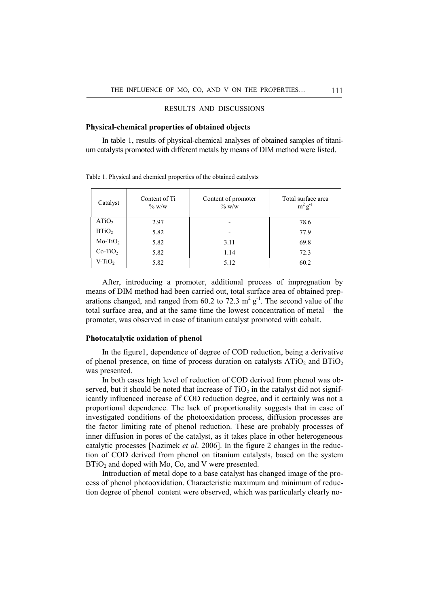## RESULTS AND DISCUSSIONS

#### **Physical-chemical properties of obtained objects**

In table 1, results of physical-chemical analyses of obtained samples of titanium catalysts promoted with different metals by means of DIM method were listed.

| Catalyst          | Content of Ti<br>$\%$ W/W | Content of promoter<br>$\%$ W/W | Total surface area<br>$m^2 g^{-1}$ |
|-------------------|---------------------------|---------------------------------|------------------------------------|
| ATiO <sub>2</sub> | 2.97                      | -                               | 78.6                               |
| BTiO <sub>2</sub> | 5.82                      |                                 | 77.9                               |
| $Mo-TiO2$         | 5.82                      | 3.11                            | 69.8                               |
| $Co-TiO2$         | 5.82                      | 1.14                            | 72.3                               |
| $V-TiO2$          | 5.82                      | 5.12                            | 60.2                               |

Table 1. Physical and chemical properties of the obtained catalysts

After, introducing a promoter, additional process of impregnation by means of DIM method had been carried out, total surface area of obtained preparations changed, and ranged from 60.2 to 72.3  $m^2 g^{-1}$ . The second value of the total surface area, and at the same time the lowest concentration of metal – the promoter, was observed in case of titanium catalyst promoted with cobalt.

### **Photocatalytic oxidation of phenol**

In the figure1, dependence of degree of COD reduction, being a derivative of phenol presence, on time of process duration on catalysts  $ATiO<sub>2</sub>$  and  $BTiO<sub>2</sub>$ was presented.

In both cases high level of reduction of COD derived from phenol was observed, but it should be noted that increase of  $TiO<sub>2</sub>$  in the catalyst did not significantly influenced increase of COD reduction degree, and it certainly was not a proportional dependence. The lack of proportionality suggests that in case of investigated conditions of the photooxidation process, diffusion processes are the factor limiting rate of phenol reduction. These are probably processes of inner diffusion in pores of the catalyst, as it takes place in other heterogeneous catalytic processes [Nazimek *et al*. 2006]. In the figure 2 changes in the reduction of COD derived from phenol on titanium catalysts, based on the system  $BTiO<sub>2</sub>$  and doped with Mo, Co, and V were presented.

Introduction of metal dope to a base catalyst has changed image of the process of phenol photooxidation. Characteristic maximum and minimum of reduction degree of phenol content were observed, which was particularly clearly no-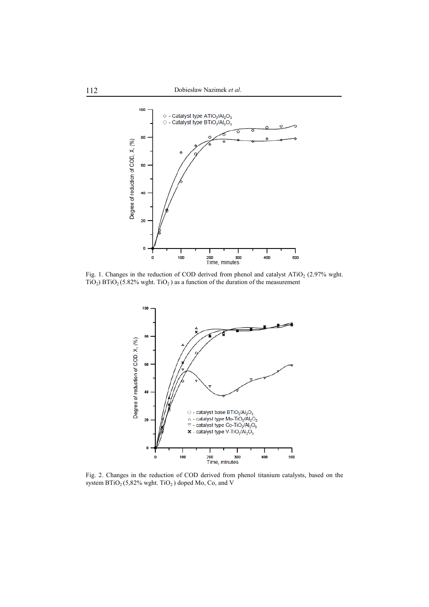

Fig. 1. Changes in the reduction of COD derived from phenol and catalyst  $ATiO<sub>2</sub>$  (2.97% wght. TiO<sub>2</sub>) BTiO<sub>2</sub> (5.82% wght. TiO<sub>2</sub>) as a function of the duration of the measurement



Fig. 2. Changes in the reduction of COD derived from phenol titanium catalysts, based on the system  $\text{BTiO}_2$  (5,82% wght. TiO<sub>2</sub>) doped Mo, Co, and V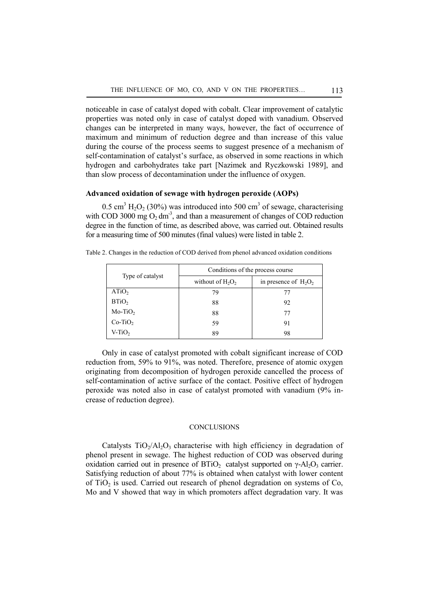noticeable in case of catalyst doped with cobalt. Clear improvement of catalytic properties was noted only in case of catalyst doped with vanadium. Observed changes can be interpreted in many ways, however, the fact of occurrence of maximum and minimum of reduction degree and than increase of this value during the course of the process seems to suggest presence of a mechanism of self-contamination of catalyst's surface, as observed in some reactions in which hydrogen and carbohydrates take part [Nazimek and Ryczkowski 1989], and than slow process of decontamination under the influence of oxygen.

## **Advanced oxidation of sewage with hydrogen peroxide (AOPs)**

0.5 cm<sup>3</sup> H<sub>2</sub>O<sub>2</sub> (30%) was introduced into 500 cm<sup>3</sup> of sewage, characterising with COD 3000 mg  $O_2$  dm<sup>-3</sup>, and than a measurement of changes of COD reduction degree in the function of time, as described above, was carried out. Obtained results for a measuring time of 500 minutes (final values) were listed in table 2.

|                   | Conditions of the process course |                         |  |
|-------------------|----------------------------------|-------------------------|--|
| Type of catalyst  | without of $H_2O_2$              | in presence of $H_2O_2$ |  |
| ATiO <sub>2</sub> | 79                               | 77                      |  |
| BTiO <sub>2</sub> | 88                               | 92                      |  |
| $Mo-TiO2$         | 88                               | 77                      |  |
| $Co-TiO2$         | 59                               | 91                      |  |
| $V-TiO2$          | 89                               | 98                      |  |

Table 2. Changes in the reduction of COD derived from phenol advanced oxidation conditions

Only in case of catalyst promoted with cobalt significant increase of COD reduction from, 59% to 91%, was noted. Therefore, presence of atomic oxygen originating from decomposition of hydrogen peroxide cancelled the process of self-contamination of active surface of the contact. Positive effect of hydrogen peroxide was noted also in case of catalyst promoted with vanadium (9% increase of reduction degree).

### **CONCLUSIONS**

Catalysts  $TiO<sub>2</sub>/Al<sub>2</sub>O<sub>3</sub>$  characterise with high efficiency in degradation of phenol present in sewage. The highest reduction of COD was observed during oxidation carried out in presence of  $BTiO<sub>2</sub>$  catalyst supported on  $\gamma$ -Al<sub>2</sub>O<sub>3</sub> carrier. Satisfying reduction of about 77% is obtained when catalyst with lower content of  $TiO<sub>2</sub>$  is used. Carried out research of phenol degradation on systems of Co, Mo and V showed that way in which promoters affect degradation vary. It was